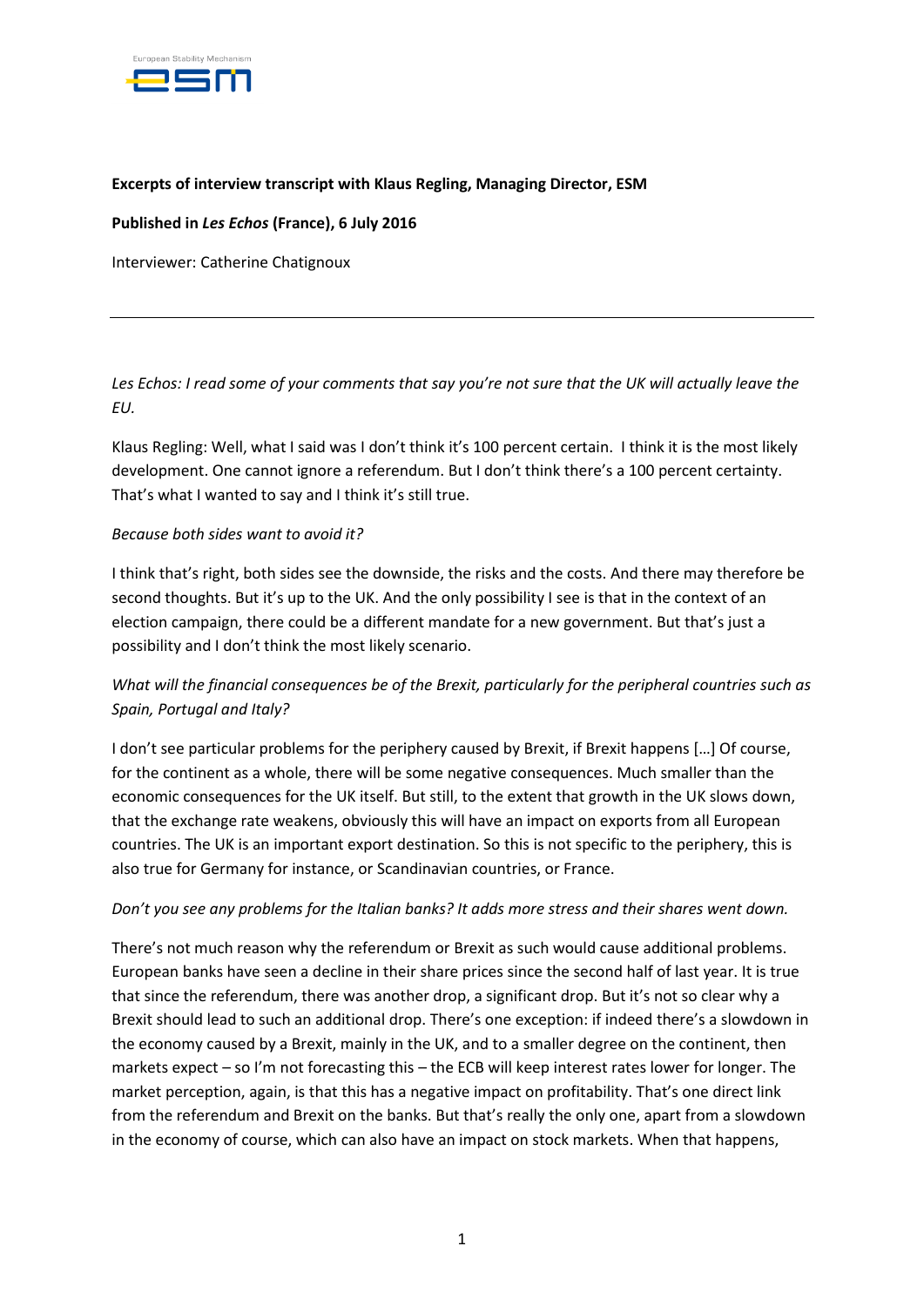

### **Excerpts of interview transcript with Klaus Regling, Managing Director, ESM**

**Published in** *Les Echos* **(France), 6 July 2016**

Interviewer: Catherine Chatignoux

*Les Echos*: *I read some of your comments that say you're not sure that the UK will actually leave the EU.*

Klaus Regling: Well, what I said was I don't think it's 100 percent certain. I think it is the most likely development. One cannot ignore a referendum. But I don't think there's a 100 percent certainty. That's what I wanted to say and I think it's still true.

### *Because both sides want to avoid it?*

I think that's right, both sides see the downside, the risks and the costs. And there may therefore be second thoughts. But it's up to the UK. And the only possibility I see is that in the context of an election campaign, there could be a different mandate for a new government. But that's just a possibility and I don't think the most likely scenario.

# *What will the financial consequences be of the Brexit, particularly for the peripheral countries such as Spain, Portugal and Italy?*

I don't see particular problems for the periphery caused by Brexit, if Brexit happens […] Of course, for the continent as a whole, there will be some negative consequences. Much smaller than the economic consequences for the UK itself. But still, to the extent that growth in the UK slows down, that the exchange rate weakens, obviously this will have an impact on exports from all European countries. The UK is an important export destination. So this is not specific to the periphery, this is also true for Germany for instance, or Scandinavian countries, or France.

### *Don't you see any problems for the Italian banks? It adds more stress and their shares went down.*

There's not much reason why the referendum or Brexit as such would cause additional problems. European banks have seen a decline in their share prices since the second half of last year. It is true that since the referendum, there was another drop, a significant drop. But it's not so clear why a Brexit should lead to such an additional drop. There's one exception: if indeed there's a slowdown in the economy caused by a Brexit, mainly in the UK, and to a smaller degree on the continent, then markets expect – so I'm not forecasting this – the ECB will keep interest rates lower for longer. The market perception, again, is that this has a negative impact on profitability. That's one direct link from the referendum and Brexit on the banks. But that's really the only one, apart from a slowdown in the economy of course, which can also have an impact on stock markets. When that happens,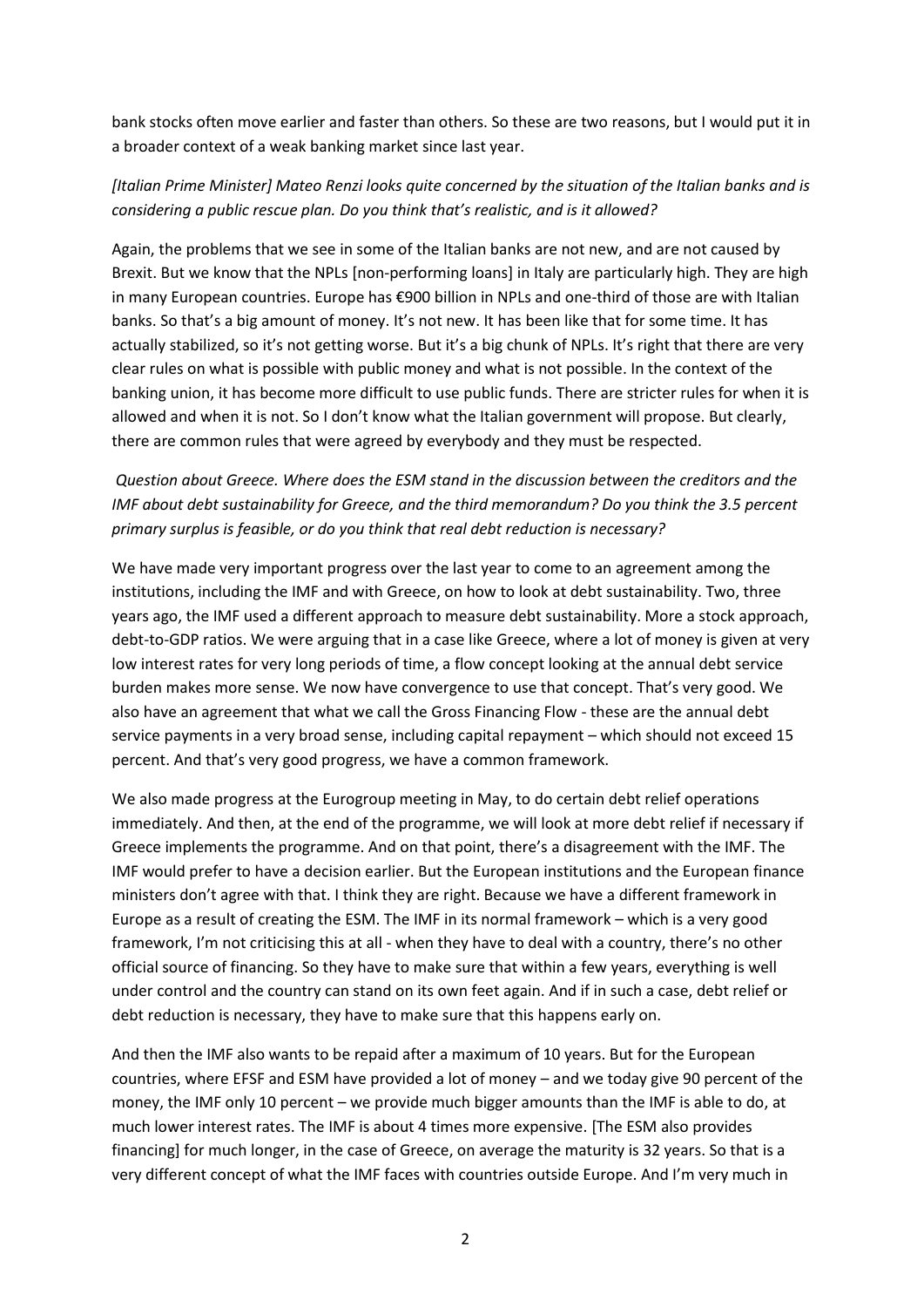bank stocks often move earlier and faster than others. So these are two reasons, but I would put it in a broader context of a weak banking market since last year.

## *[Italian Prime Minister] Mateo Renzi looks quite concerned by the situation of the Italian banks and is considering a public rescue plan. Do you think that's realistic, and is it allowed?*

Again, the problems that we see in some of the Italian banks are not new, and are not caused by Brexit. But we know that the NPLs [non-performing loans] in Italy are particularly high. They are high in many European countries. Europe has €900 billion in NPLs and one-third of those are with Italian banks. So that's a big amount of money. It's not new. It has been like that for some time. It has actually stabilized, so it's not getting worse. But it's a big chunk of NPLs. It's right that there are very clear rules on what is possible with public money and what is not possible. In the context of the banking union, it has become more difficult to use public funds. There are stricter rules for when it is allowed and when it is not. So I don't know what the Italian government will propose. But clearly, there are common rules that were agreed by everybody and they must be respected.

# *Question about Greece. Where does the ESM stand in the discussion between the creditors and the IMF about debt sustainability for Greece, and the third memorandum? Do you think the 3.5 percent primary surplus is feasible, or do you think that real debt reduction is necessary?*

We have made very important progress over the last year to come to an agreement among the institutions, including the IMF and with Greece, on how to look at debt sustainability. Two, three years ago, the IMF used a different approach to measure debt sustainability. More a stock approach, debt-to-GDP ratios. We were arguing that in a case like Greece, where a lot of money is given at very low interest rates for very long periods of time, a flow concept looking at the annual debt service burden makes more sense. We now have convergence to use that concept. That's very good. We also have an agreement that what we call the Gross Financing Flow - these are the annual debt service payments in a very broad sense, including capital repayment – which should not exceed 15 percent. And that's very good progress, we have a common framework.

We also made progress at the Eurogroup meeting in May, to do certain debt relief operations immediately. And then, at the end of the programme, we will look at more debt relief if necessary if Greece implements the programme. And on that point, there's a disagreement with the IMF. The IMF would prefer to have a decision earlier. But the European institutions and the European finance ministers don't agree with that. I think they are right. Because we have a different framework in Europe as a result of creating the ESM. The IMF in its normal framework – which is a very good framework, I'm not criticising this at all - when they have to deal with a country, there's no other official source of financing. So they have to make sure that within a few years, everything is well under control and the country can stand on its own feet again. And if in such a case, debt relief or debt reduction is necessary, they have to make sure that this happens early on.

And then the IMF also wants to be repaid after a maximum of 10 years. But for the European countries, where EFSF and ESM have provided a lot of money – and we today give 90 percent of the money, the IMF only 10 percent – we provide much bigger amounts than the IMF is able to do, at much lower interest rates. The IMF is about 4 times more expensive. [The ESM also provides financing] for much longer, in the case of Greece, on average the maturity is 32 years. So that is a very different concept of what the IMF faces with countries outside Europe. And I'm very much in